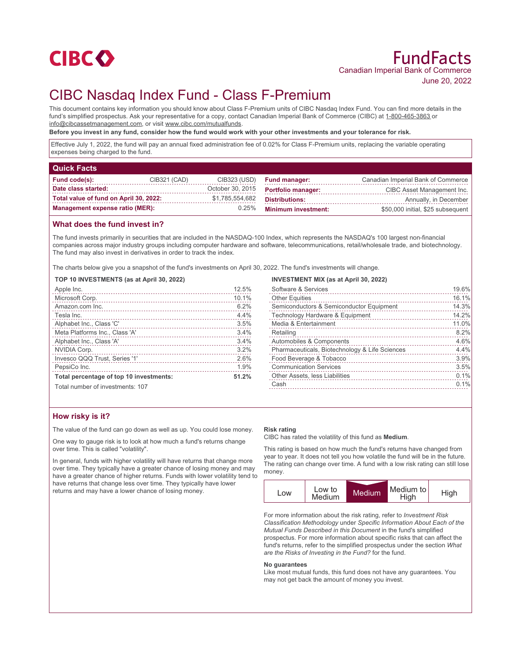

# CIBC Nasdaq Index Fund - Class F-Premium

This document contains key information you should know about Class F-Premium units of CIBC Nasdaq Index Fund. You can find more details in the fund's simplified prospectus. Ask your representative for a copy, contact Canadian Imperial Bank of Commerce (CIBC) at 1-800-465-3863 or info@cibcassetmanagement.com, or visit www.cibc.com/mutualfunds.

**Before you invest in any fund, consider how the fund would work with your other investments and your tolerance for risk.**

Effective July 1, 2022, the fund will pay an annual fixed administration fee of 0.02% for Class F-Premium units, replacing the variable operating expenses being charged to the fund.

| <b>Quick Facts</b>                     |              |                  |                                                |                                    |
|----------------------------------------|--------------|------------------|------------------------------------------------|------------------------------------|
| Fund code(s):                          | CIB321 (CAD) | CIB323 (USD)     | <b>Fund manager:</b>                           | Canadian Imperial Bank of Commerce |
| Date class started:                    |              | October 30, 2015 | <b>Portfolio manager:</b>                      | CIBC Asset Management Inc.         |
| Total value of fund on April 30, 2022: |              | \$1,785,554,682  | <b>Distributions:</b><br>Annually, in December |                                    |
| <b>Management expense ratio (MER):</b> |              | 0.25%            | <b>Minimum investment:</b>                     | \$50,000 initial, \$25 subsequent  |

## **What does the fund invest in?**

The fund invests primarily in securities that are included in the NASDAQ-100 Index, which represents the NASDAQ's 100 largest non-financial companies across major industry groups including computer hardware and software, telecommunications, retail/wholesale trade, and biotechnology. The fund may also invest in derivatives in order to track the index.

The charts below give you a snapshot of the fund's investments on April 30, 2022. The fund's investments will change.

## **TOP 10 INVESTMENTS (as at April 30, 2022)**

| Apple Inc.                                                                                                                                                                                                                                    | 12.5% |
|-----------------------------------------------------------------------------------------------------------------------------------------------------------------------------------------------------------------------------------------------|-------|
| Microsoft Corp.                                                                                                                                                                                                                               | 10.1% |
| Amazon.com Inc.                                                                                                                                                                                                                               | 6.2%  |
| Tesla Inc.                                                                                                                                                                                                                                    | 4.4%  |
| Alphabet Inc., Class 'C'                                                                                                                                                                                                                      | 3.5%  |
| Meta Platforms Inc., Class 'A'                                                                                                                                                                                                                | 3.4%  |
| Alphabet Inc., Class 'A'                                                                                                                                                                                                                      | 3.4%  |
| NVIDIA Corp.                                                                                                                                                                                                                                  | 3.2%  |
| Invesco QQQ Trust, Series '1'                                                                                                                                                                                                                 | 2.6%  |
| PepsiCo Inc.<br>and a construction of the construction of the construction of the construction of the construction of the construction of the construction of the construction of the construction of the construction of the construction of | 1.9%  |
| Total percentage of top 10 investments:                                                                                                                                                                                                       | 51.2% |
| Total number of investments: 107                                                                                                                                                                                                              |       |

## **INVESTMENT MIX (as at April 30, 2022)**

| Software & Services                            | 19.6% |
|------------------------------------------------|-------|
| <b>Other Equities</b>                          | 16.1% |
| Semiconductors & Semiconductor Equipment       | 14.3% |
| Technology Hardware & Equipment                | 14.2% |
| Media & Entertainment                          | 11.0% |
| Retailing                                      | 8.2%  |
| Automobiles & Components                       | 4.6%  |
| Pharmaceuticals, Biotechnology & Life Sciences | 4.4%  |
| Food Beverage & Tobacco                        | 3.9%  |
| <b>Communication Services</b>                  | 3.5%  |
| Other Assets, less Liabilities                 | 0.1%  |
| Cash                                           | 0.1%  |
|                                                |       |

# **How risky is it?**

The value of the fund can go down as well as up. You could lose money.

One way to gauge risk is to look at how much a fund's returns change over time. This is called "volatility".

In general, funds with higher volatility will have returns that change more over time. They typically have a greater chance of losing money and may have a greater chance of higher returns. Funds with lower volatility tend to have returns that change less over time. They typically have lower returns and may have a lower chance of losing money.

#### **Risk rating**

CIBC has rated the volatility of this fund as **Medium**.

This rating is based on how much the fund's returns have changed from year to year. It does not tell you how volatile the fund will be in the future. The rating can change over time. A fund with a low risk rating can still lose money.



For more information about the risk rating, refer to *Investment Risk Classification Methodology* under *Specific Information About Each of the Mutual Funds Described in this Document* in the fund's simplified prospectus. For more information about specific risks that can affect the fund's returns, refer to the simplified prospectus under the section *What are the Risks of Investing in the Fund?* for the fund.

#### **No guarantees**

Like most mutual funds, this fund does not have any guarantees. You may not get back the amount of money you invest.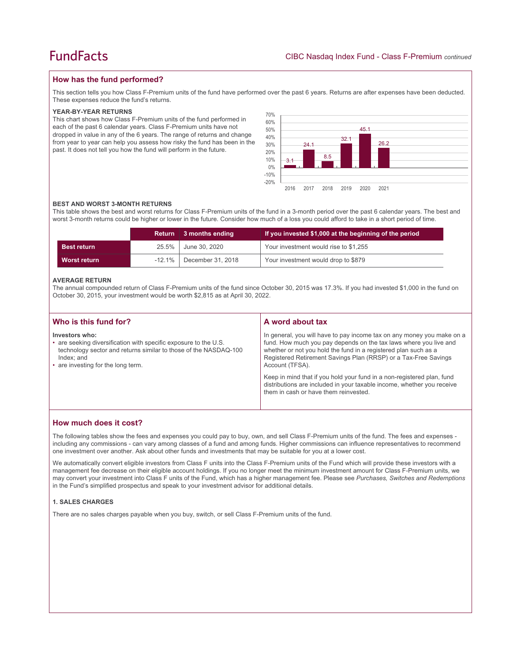## **How has the fund performed?**

This section tells you how Class F-Premium units of the fund have performed over the past 6 years. Returns are after expenses have been deducted. These expenses reduce the fund's returns.

#### **YEAR-BY-YEAR RETURNS**

This chart shows how Class F-Premium units of the fund performed in each of the past 6 calendar years. Class F-Premium units have not dropped in value in any of the 6 years. The range of returns and change from year to year can help you assess how risky the fund has been in the past. It does not tell you how the fund will perform in the future.



#### **BEST AND WORST 3-MONTH RETURNS**

This table shows the best and worst returns for Class F-Premium units of the fund in a 3-month period over the past 6 calendar years. The best and worst 3-month returns could be higher or lower in the future. Consider how much of a loss you could afford to take in a short period of time.

|                    |           | Return 3 months ending | If you invested \$1,000 at the beginning of the period |
|--------------------|-----------|------------------------|--------------------------------------------------------|
| <b>Best return</b> | 25.5%     | June 30, 2020          | Your investment would rise to \$1,255                  |
| Worst return       | $-12.1\%$ | December 31, 2018      | Your investment would drop to \$879                    |

#### **AVERAGE RETURN**

The annual compounded return of Class F-Premium units of the fund since October 30, 2015 was 17.3%. If you had invested \$1,000 in the fund on October 30, 2015, your investment would be worth \$2,815 as at April 30, 2022.

| Who is this fund for?                                                                                                                                                                                      | A word about tax                                                                                                                                                                                                                                                                                                                                                                                                                                                                                  |
|------------------------------------------------------------------------------------------------------------------------------------------------------------------------------------------------------------|---------------------------------------------------------------------------------------------------------------------------------------------------------------------------------------------------------------------------------------------------------------------------------------------------------------------------------------------------------------------------------------------------------------------------------------------------------------------------------------------------|
| Investors who:<br>• are seeking diversification with specific exposure to the U.S.<br>technology sector and returns similar to those of the NASDAQ-100<br>Index: and<br>• are investing for the long term. | In general, you will have to pay income tax on any money you make on a<br>fund. How much you pay depends on the tax laws where you live and<br>whether or not you hold the fund in a registered plan such as a<br>Registered Retirement Savings Plan (RRSP) or a Tax-Free Savings<br>Account (TFSA).<br>Keep in mind that if you hold your fund in a non-registered plan, fund<br>distributions are included in your taxable income, whether you receive<br>them in cash or have them reinvested. |

## **How much does it cost?**

The following tables show the fees and expenses you could pay to buy, own, and sell Class F-Premium units of the fund. The fees and expenses including any commissions - can vary among classes of a fund and among funds. Higher commissions can influence representatives to recommend one investment over another. Ask about other funds and investments that may be suitable for you at a lower cost.

We automatically convert eligible investors from Class F units into the Class F-Premium units of the Fund which will provide these investors with a management fee decrease on their eligible account holdings. If you no longer meet the minimum investment amount for Class F-Premium units, we may convert your investment into Class F units of the Fund, which has a higher management fee. Please see *Purchases, Switches and Redemptions* in the Fund's simplified prospectus and speak to your investment advisor for additional details.

### **1. SALES CHARGES**

There are no sales charges payable when you buy, switch, or sell Class F-Premium units of the fund.